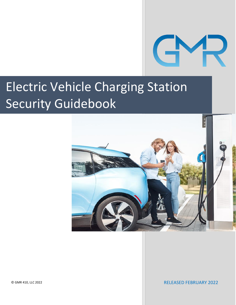

## Electric Vehicle Charging Station Security Guidebook



© GMR 410, LLC 2022

RELEASED FEBRUARY 2022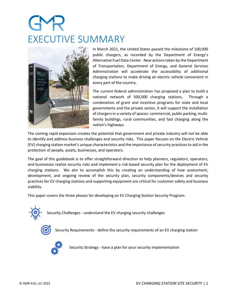## EXECUTIVE SUMMARY



In March 2021, the United States passed the milestone of 100,000 public chargers, as recorded by the Department of Energy's Alternative Fuel Data Center. New actions taken by the Department of Transportation, Department of Energy, and General Services Administration will accelerate the accessibility of additional charging stations to make driving an electric vehicle convenient in every part of the country.

The current federal administration has proposed a plan to build a national network of 500,000 charging stations. Through a combination of grant and incentive programs for state and local governments and the private sector, it will support the installation of chargers in a variety of spaces: commercial, public parking, multifamily buildings, rural communities, and fast charging along the nation's highways.

The coming rapid expansion creates the potential that government and private industry will not be able to identify and address business challenges and security risks. This paper focuses on the Electric Vehicle (EV) charging station market's unique characteristics and the importance ofsecurity practices to aid in the protection of people, assets, businesses, and operators.

The goal of this guidebook is to offer straightforward direction to help planners, regulators, operators, and businesses realize security risks and implement a risk-based security plan for the deployment of EV charging stations. We aim to accomplish this by creating an understanding of how assessment, development, and ongoing review of the security plan, security components/devices and security practices for EV charging stations and supporting equipment are critical for customer safety and business viability.

This paper covers the three phases for developing an EV Charging Station Security Program:



Security Challenges - understand the EV charging security challenges



Security Requirements - define the security requirements of an EV charging station



Security Strategy - have a plan for your security implementation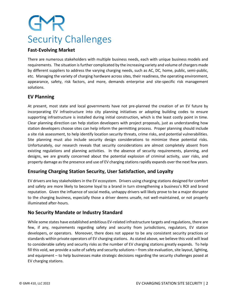# Security Challenges

### **Fast-Evolving Market**

There are numerous stakeholders with multiple business needs, each with unique business models and requirements. The situation is further complicated by the increasing variety and volume of chargers made by different suppliers to address the varying charging needs, such as AC, DC, home, public, semi-public, etc. Managing the variety of charging hardware across sites, their readiness, the operating environment, appearance, safety, risk factors, and more, demands enterprise and site-specific risk management solutions.

### **EV Planning**

At present, most state and local governments have not pre-planned the creation of an EV future by incorporating EV infrastructure into city planning initiatives or adopting building codes to ensure supporting infrastructure is installed during initial construction, which is the least costly point in time. Clear planning direction can help station developers with project proposals, just as understanding how station developers choose sites can help inform the permitting process. Proper planning should include a site risk assessment, to help identify location security threats, crime risks, and potential vulnerabilities. Site planning must also include security design considerations to minimize these potential risks. Unfortunately, our research reveals that security considerations are almost completely absent from existing regulations and planning activities. In the absence of security requirements, planning, and designs, we are greatly concerned about the potential explosion of criminal activity, user risks, and property damage as the presence and use of EV charging stations rapidly expands over the next few years.

### **Ensuring Charging Station Security, User Satisfaction, and Loyalty**

EV drivers are key stakeholders in the EV ecosystem. Drivers using charging stations designed for comfort and safety are more likely to become loyal to a brand in turn strengthening a business's ROI and brand reputation. Given the influence of social media, unhappy drivers will likely prove to be a major disruptor to the charging business, especially those a driver deems unsafe, not well-maintained, or not properly illuminated after-hours.

### **No Security Mandate or Industry Standard**

While some states have established ambitious EV-related infrastructure targets and regulations, there are few, if any, requirements regarding safety and security from jurisdictions, regulators, EV station developers, or operators. Moreover, there does not appear to be any consistent security practices or standards within private operators of EV charging stations. As stated above, we believe this void will lead to considerable safety and security risks as the number of EV charging stations greatly expands. To help fill this void, we provide a suite of safety and security solutions – from site evaluation, site layout, lighting, and equipment – to help businesses make strategic decisions regarding the security challenges posed at EV charging stations.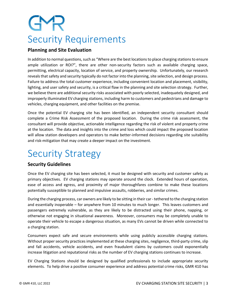# Security Requirements

### **Planning and Site Evaluation**

In addition to normal questions, such as "Where are the best locationsto place charging stations to ensure ample utilization or ROI?", there are other non-security factors such as available charging space, permitting, electrical capacity, location of service, and property ownership. Unfortunately, our research reveals that safety and security typically do not factor into the planning, site selection, and design process. Failure to address the total customer experience, including convenient location and placement, visibility, lighting, and user safety and security, is a critical flaw in the planning and site selection strategy. Further, we believe there are additional security risks associated with poorly selected, inadequately designed, and improperly illuminated EV charging stations, including harm to customers and pedestrians and damage to vehicles, charging equipment, and other facilities on the premise.

Once the potential EV charging site has been identified, an independent security consultant should complete a Crime Risk Assessment of the proposed location. During the crime risk assessment, the consultant will provide objective, actionable intelligence regarding the risk of violent and property crime at the location. The data and insights into the crime and loss which could impact the proposed location will allow station developers and operators to make better-informed decisions regarding site suitability and risk-mitigation that may create a deeper impact on the investment.

### Security Strategy

### **Security Guidelines**

Once the EV charging site has been selected, it must be designed with security and customer safety as primary objectives. EV charging stations may operate around the clock. Extended hours of operation, ease of access and egress, and proximity of major thoroughfares combine to make these locations potentially susceptible to planned and impulsive assaults, robberies, and similar crimes.

During the charging process, car owners are likely to be sitting in their car -tethered to the charging station and essentially inoperable – for anywhere from 10 minutes to much longer. This leaves customers and passengers extremely vulnerable, as they are likely to be distracted using their phone, napping, or otherwise not engaging in situational awareness. Moreover, consumers may be completely unable to operate their vehicle to escape a dangerous situation, as many EVs cannot be driven while connected to a charging station.

Consumers expect safe and secure environments while using publicly accessible charging stations. Without proper security practices implemented at these charging sites, negligence, third-party crime, slip and fall accidents, vehicle accidents, and even fraudulent claims by customers could exponentially increase litigation and reputational risks as the number of EV charging stations continues to increase.

EV Charging Stations should be designed by qualified professionals to include appropriate security elements. To help drive a positive consumer experience and address potential crime risks, GMR 410 has